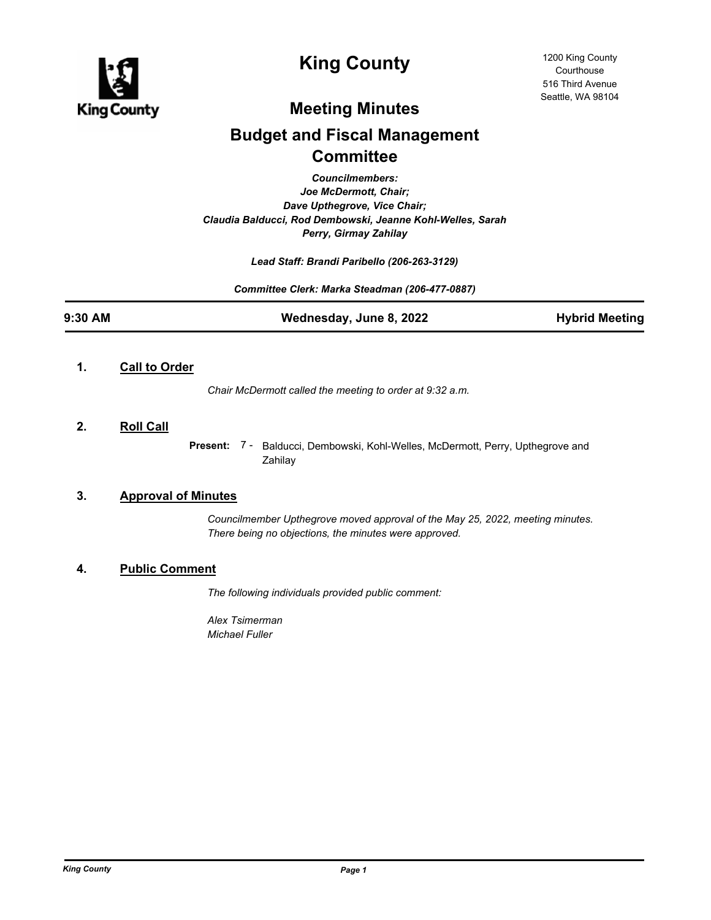

# **King County**

## **Meeting Minutes**

# **Budget and Fiscal Management Committee**

*Councilmembers: Joe McDermott, Chair; Dave Upthegrove, Vice Chair; Claudia Balducci, Rod Dembowski, Jeanne Kohl-Welles, Sarah Perry, Girmay Zahilay*

*Lead Staff: Brandi Paribello (206-263-3129)*

*Committee Clerk: Marka Steadman (206-477-0887)*

| 9:30 AM | Wednesday, June 8, 2022 | <b>Hybrid Meeting</b> |
|---------|-------------------------|-----------------------|

#### **1. Call to Order**

*Chair McDermott called the meeting to order at 9:32 a.m.*

#### **2. Roll Call**

Present: 7 - Balducci, Dembowski, Kohl-Welles, McDermott, Perry, Upthegrove and Zahilay

#### **3. Approval of Minutes**

*Councilmember Upthegrove moved approval of the May 25, 2022, meeting minutes. There being no objections, the minutes were approved.*

#### **4. Public Comment**

*The following individuals provided public comment:*

*Alex Tsimerman Michael Fuller*